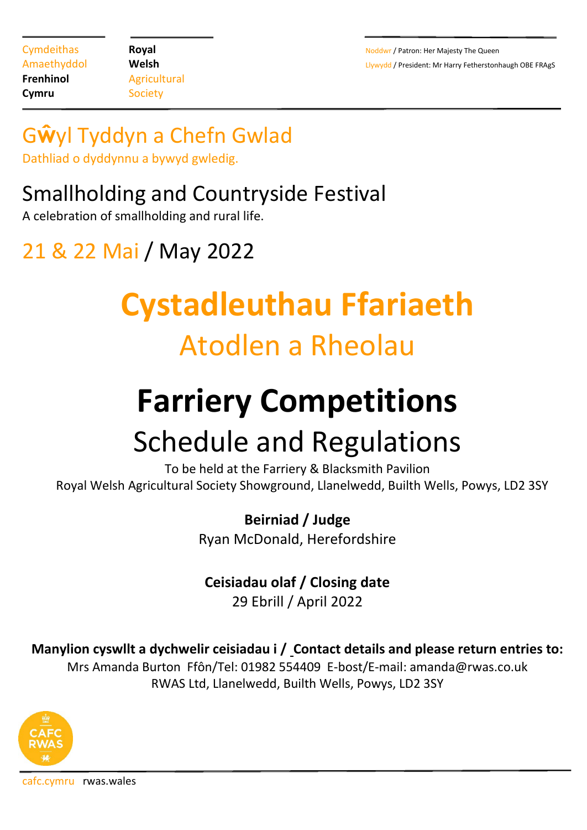**Cymdeithas <b>Royal Royal Royal Royal Royal Reserves All And Account Account Account Account Account Account Account Account Account Account Account Account Account Account Account Account Account Account Account** Amaethyddol **Welsh Welsh Llywydd / President: Mr Harry Fetherstonhaugh OBE FRAgS** 

## G**ŵ**yl Tyddyn a Chefn Gwlad

Dathliad o dyddynnu a bywyd gwledig.

## Smallholding and Countryside Festival

A celebration of smallholding and rural life.

## 21 & 22 Mai / May 2022

# **Cystadleuthau Ffariaeth** Atodlen a Rheolau

# **Farriery Competitions** Schedule and Regulations

To be held at the Farriery & Blacksmith Pavilion Royal Welsh Agricultural Society Showground, Llanelwedd, Builth Wells, Powys, LD2 3SY

> **Beirniad / Judge** Ryan McDonald, Herefordshire

### **Ceisiadau olaf / Closing date**

29 Ebrill / April 2022

**Manylion cyswllt a dychwelir ceisiadau i / Contact details and please return entries to:**

Mrs Amanda Burton Ffôn/Tel: 01982 554409 E-bost/E-mail: [amanda@rwas.co.uk](mailto:amanda@rwas.co.uk)  RWAS Ltd, Llanelwedd, Builth Wells, Powys, LD2 3SY



cafc.cymru rwas.wales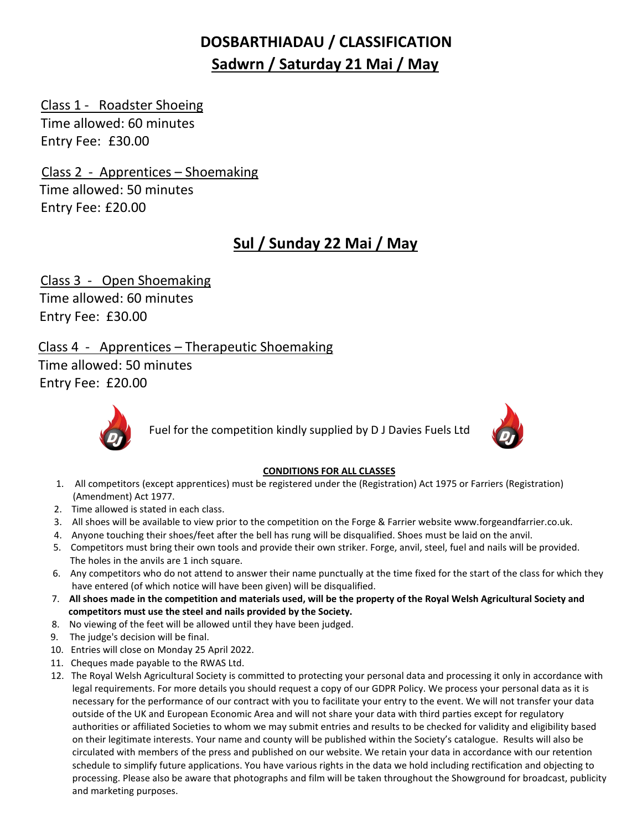### **DOSBARTHIADAU / CLASSIFICATION Sadwrn / Saturday 21 Mai / May**

#### Class 1 - Roadster Shoeing Time allowed: 60 minutes Entry Fee: £30.00

Class 2 - Apprentices – Shoemaking Time allowed: 50 minutes Entry Fee: £20.00

#### **Sul / Sunday 22 Mai / May**

 Class 3 - Open Shoemaking Time allowed: 60 minutes Entry Fee: £30.00

Class 4 - Apprentices – Therapeutic Shoemaking

 Time allowed: 50 minutes Entry Fee: £20.00



Fuel for the competition kindly supplied by D J Davies Fuels Ltd



#### **CONDITIONS FOR ALL CLASSES**

- 1. All competitors (except apprentices) must be registered under the (Registration) Act 1975 or Farriers (Registration) (Amendment) Act 1977.
- 2. Time allowed is stated in each class.
- 3. All shoes will be available to view prior to the competition on the Forge & Farrier website www.forgeandfarrier.co.uk.
- 4. Anyone touching their shoes/feet after the bell has rung will be disqualified. Shoes must be laid on the anvil.
- 5. Competitors must bring their own tools and provide their own striker. Forge, anvil, steel, fuel and nails will be provided. The holes in the anvils are 1 inch square.
- 6. Any competitors who do not attend to answer their name punctually at the time fixed for the start of the class for which they have entered (of which notice will have been given) will be disqualified.
- 7. **All shoes made in the competition and materials used, will be the property of the Royal Welsh Agricultural Society and competitors must use the steel and nails provided by the Society.**
- 8. No viewing of the feet will be allowed until they have been judged.
- 9. The judge's decision will be final.
- 10. Entries will close on Monday 25 April 2022.
- 11. Cheques made payable to the RWAS Ltd.
- 12. The Royal Welsh Agricultural Society is committed to protecting your personal data and processing it only in accordance with legal requirements. For more details you should request a copy of our GDPR Policy. We process your personal data as it is necessary for the performance of our contract with you to facilitate your entry to the event. We will not transfer your data outside of the UK and European Economic Area and will not share your data with third parties except for regulatory authorities or affiliated Societies to whom we may submit entries and results to be checked for validity and eligibility based on their legitimate interests. Your name and county will be published within the Society's catalogue. Results will also be circulated with members of the press and published on our website. We retain your data in accordance with our retention schedule to simplify future applications. You have various rights in the data we hold including rectification and objecting to processing. Please also be aware that photographs and film will be taken throughout the Showground for broadcast, publicity and marketing purposes.